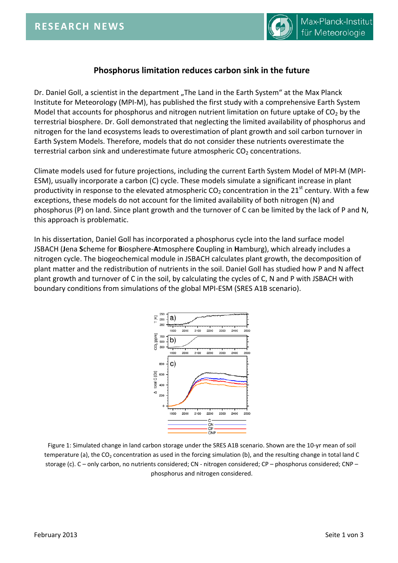

## **Phosphorus limitation reduces carbon sink in the future**

Dr. Daniel Goll, a scientist in the department "The Land in the Earth System" at the Max Planck Institute for Meteorology (MPI-M), has published the first study with a comprehensive Earth System Model that accounts for phosphorus and nitrogen nutrient limitation on future uptake of  $CO<sub>2</sub>$  by the terrestrial biosphere. Dr. Goll demonstrated that neglecting the limited availability of phosphorus and nitrogen for the land ecosystems leads to overestimation of plant growth and soil carbon turnover in Earth System Models. Therefore, models that do not consider these nutrients overestimate the terrestrial carbon sink and underestimate future atmospheric  $CO<sub>2</sub>$  concentrations.

Climate models used for future projections, including the current Earth System Model of MPI-M (MPI-ESM), usually incorporate a carbon (C) cycle. These models simulate a significant increase in plant productivity in response to the elevated atmospheric  $CO<sub>2</sub>$  concentration in the 21<sup>st</sup> century. With a few exceptions, these models do not account for the limited availability of both nitrogen (N) and phosphorus (P) on land. Since plant growth and the turnover of C can be limited by the lack of P and N, this approach is problematic.

In his dissertation, Daniel Goll has incorporated a phosphorus cycle into the land surface model JSBACH (**J**ena **S**cheme for **B**iosphere-**A**tmosphere **C**oupling in **H**amburg), which already includes a nitrogen cycle. The biogeochemical module in JSBACH calculates plant growth, the decomposition of plant matter and the redistribution of nutrients in the soil. Daniel Goll has studied how P and N affect plant growth and turnover of C in the soil, by calculating the cycles of C, N and P with JSBACH with boundary conditions from simulations of the global MPI-ESM (SRES A1B scenario).



Figure 1: Simulated change in land carbon storage under the SRES A1B scenario. Shown are the 10-yr mean of soil temperature (a), the  $CO<sub>2</sub>$  concentration as used in the forcing simulation (b), and the resulting change in total land C storage (c). C – only carbon, no nutrients considered; CN - nitrogen considered; CP – phosphorus considered; CNP – phosphorus and nitrogen considered.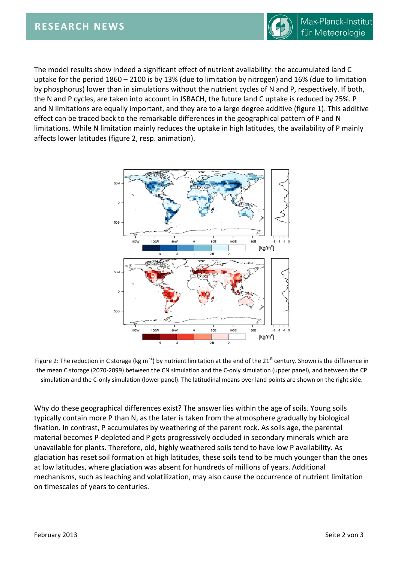

The model results show indeed a significant effect of nutrient availability: the accumulated land C uptake for the period 1860 – 2100 is by 13% (due to limitation by nitrogen) and 16% (due to limitation by phosphorus) lower than in simulations without the nutrient cycles of N and P, respectively. If both, the N and P cycles, are taken into account in JSBACH, the future land C uptake is reduced by 25%. P and N limitations are equally important, and they are to a large degree additive (figure 1). This additive effect can be traced back to the remarkable differences in the geographical pattern of P and N limitations. While N limitation mainly reduces the uptake in high latitudes, the availability of P mainly affects lower latitudes (figure 2, resp. animation).



Figure 2: The reduction in C storage (kg m<sup>-2</sup>) by nutrient limitation at the end of the 21<sup>st</sup> century. Shown is the difference in the mean C storage (2070-2099) between the CN simulation and the C-only simulation (upper panel), and between the CP simulation and the C-only simulation (lower panel). The latitudinal means over land points are shown on the right side.

Why do these geographical differences exist? The answer lies within the age of soils. Young soils typically contain more P than N, as the later is taken from the atmosphere gradually by biological fixation. In contrast, P accumulates by weathering of the parent rock. As soils age, the parental material becomes P-depleted and P gets progressively occluded in secondary minerals which are unavailable for plants. Therefore, old, highly weathered soils tend to have low P availability. As glaciation has reset soil formation at high latitudes, these soils tend to be much younger than the ones at low latitudes, where glaciation was absent for hundreds of millions of years. Additional mechanisms, such as leaching and volatilization, may also cause the occurrence of nutrient limitation on timescales of years to centuries.